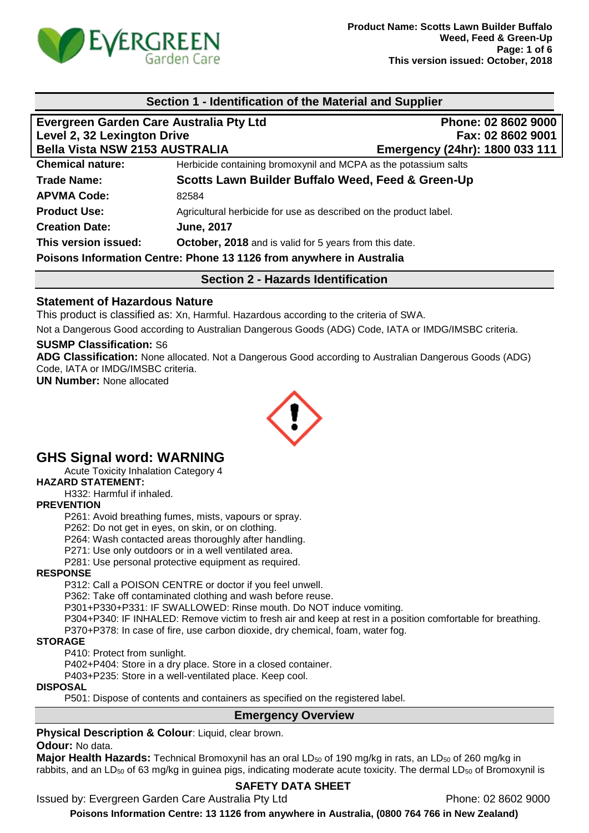

#### **Section 1 - Identification of the Material and Supplier**

| Evergreen Garden Care Australia Pty Ltd                              |                                                                   | Phone: 02 8602 9000            |
|----------------------------------------------------------------------|-------------------------------------------------------------------|--------------------------------|
| Level 2, 32 Lexington Drive                                          |                                                                   | Fax: 02 8602 9001              |
| <b>Bella Vista NSW 2153 AUSTRALIA</b>                                |                                                                   | Emergency (24hr): 1800 033 111 |
| <b>Chemical nature:</b>                                              | Herbicide containing bromoxynil and MCPA as the potassium salts   |                                |
| <b>Trade Name:</b>                                                   | Scotts Lawn Builder Buffalo Weed, Feed & Green-Up                 |                                |
| <b>APVMA Code:</b>                                                   | 82584                                                             |                                |
| <b>Product Use:</b>                                                  | Agricultural herbicide for use as described on the product label. |                                |
| <b>Creation Date:</b>                                                | <b>June, 2017</b>                                                 |                                |
| This version issued:                                                 | October, 2018 and is valid for 5 years from this date.            |                                |
| Poisons Information Centre: Phone 13 1126 from anywhere in Australia |                                                                   |                                |

**Section 2 - Hazards Identification**

### **Statement of Hazardous Nature**

This product is classified as: Xn, Harmful. Hazardous according to the criteria of SWA.

Not a Dangerous Good according to Australian Dangerous Goods (ADG) Code, IATA or IMDG/IMSBC criteria.

#### **SUSMP Classification:** S6

**ADG Classification:** None allocated. Not a Dangerous Good according to Australian Dangerous Goods (ADG) Code, IATA or IMDG/IMSBC criteria.

**UN Number:** None allocated



# **GHS Signal word: WARNING**

Acute Toxicity Inhalation Category 4

**HAZARD STATEMENT:**

H332: Harmful if inhaled.

#### **PREVENTION**

P261: Avoid breathing fumes, mists, vapours or spray.

P262: Do not get in eyes, on skin, or on clothing.

P264: Wash contacted areas thoroughly after handling.

P271: Use only outdoors or in a well ventilated area.

P281: Use personal protective equipment as required.

#### **RESPONSE**

P312: Call a POISON CENTRE or doctor if you feel unwell.

P362: Take off contaminated clothing and wash before reuse.

P301+P330+P331: IF SWALLOWED: Rinse mouth. Do NOT induce vomiting.

P304+P340: IF INHALED: Remove victim to fresh air and keep at rest in a position comfortable for breathing.

P370+P378: In case of fire, use carbon dioxide, dry chemical, foam, water fog.

#### **STORAGE**

P410: Protect from sunlight.

P402+P404: Store in a dry place. Store in a closed container.

P403+P235: Store in a well-ventilated place. Keep cool.

### **DISPOSAL**

P501: Dispose of contents and containers as specified on the registered label.

#### **Emergency Overview**

**Physical Description & Colour: Liquid, clear brown.** 

#### **Odour:** No data.

**Major Health Hazards:** Technical Bromoxynil has an oral LD<sub>50</sub> of 190 mg/kg in rats, an LD<sub>50</sub> of 260 mg/kg in rabbits, and an LD<sub>50</sub> of 63 mg/kg in guinea pigs, indicating moderate acute toxicity. The dermal LD<sub>50</sub> of Bromoxynil is

### **SAFETY DATA SHEET**

Issued by: Evergreen Garden Care Australia Pty Ltd Phone: 02 8602 9000

**Poisons Information Centre: 13 1126 from anywhere in Australia, (0800 764 766 in New Zealand)**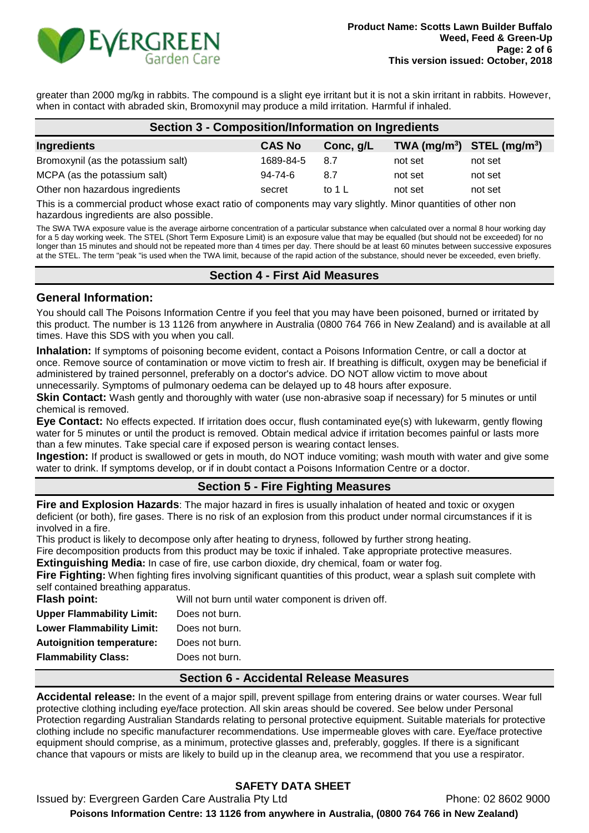

greater than 2000 mg/kg in rabbits. The compound is a slight eye irritant but it is not a skin irritant in rabbits. However, when in contact with abraded skin, Bromoxynil may produce a mild irritation. Harmful if inhaled.

| Section 3 - Composition/Information on Ingredients                                                          |               |                   |                                |         |  |
|-------------------------------------------------------------------------------------------------------------|---------------|-------------------|--------------------------------|---------|--|
| Ingredients                                                                                                 | <b>CAS No</b> | Conc, g/L         | TWA $(mg/m^3)$ STEL $(mg/m^3)$ |         |  |
| Bromoxynil (as the potassium salt)                                                                          | 1689-84-5     | 8.7               | not set                        | not set |  |
| MCPA (as the potassium salt)                                                                                | $94 - 74 - 6$ | 8.7               | not set                        | not set |  |
| Other non hazardous ingredients                                                                             | secret        | to 1 $\mathsf{L}$ | not set                        | not set |  |
| This is a commercial product whose exact ratio of components mouvementiably. Minor quantities of other none |               |                   |                                |         |  |

This is a commercial product whose exact ratio of components may vary slightly. Minor quantities of other non hazardous ingredients are also possible.

The SWA TWA exposure value is the average airborne concentration of a particular substance when calculated over a normal 8 hour working day for a 5 day working week. The STEL (Short Term Exposure Limit) is an exposure value that may be equalled (but should not be exceeded) for no longer than 15 minutes and should not be repeated more than 4 times per day. There should be at least 60 minutes between successive exposures at the STEL. The term "peak "is used when the TWA limit, because of the rapid action of the substance, should never be exceeded, even briefly.

### **Section 4 - First Aid Measures**

### **General Information:**

You should call The Poisons Information Centre if you feel that you may have been poisoned, burned or irritated by this product. The number is 13 1126 from anywhere in Australia (0800 764 766 in New Zealand) and is available at all times. Have this SDS with you when you call.

**Inhalation:** If symptoms of poisoning become evident, contact a Poisons Information Centre, or call a doctor at once. Remove source of contamination or move victim to fresh air. If breathing is difficult, oxygen may be beneficial if administered by trained personnel, preferably on a doctor's advice. DO NOT allow victim to move about unnecessarily. Symptoms of pulmonary oedema can be delayed up to 48 hours after exposure.

**Skin Contact:** Wash gently and thoroughly with water (use non-abrasive soap if necessary) for 5 minutes or until chemical is removed.

**Eye Contact:** No effects expected. If irritation does occur, flush contaminated eye(s) with lukewarm, gently flowing water for 5 minutes or until the product is removed. Obtain medical advice if irritation becomes painful or lasts more than a few minutes. Take special care if exposed person is wearing contact lenses.

**Ingestion:** If product is swallowed or gets in mouth, do NOT induce vomiting; wash mouth with water and give some water to drink. If symptoms develop, or if in doubt contact a Poisons Information Centre or a doctor.

### **Section 5 - Fire Fighting Measures**

**Fire and Explosion Hazards**: The major hazard in fires is usually inhalation of heated and toxic or oxygen deficient (or both), fire gases. There is no risk of an explosion from this product under normal circumstances if it is involved in a fire.

This product is likely to decompose only after heating to dryness, followed by further strong heating.

Fire decomposition products from this product may be toxic if inhaled. Take appropriate protective measures.

**Extinguishing Media:** In case of fire, use carbon dioxide, dry chemical, foam or water fog.

**Fire Fighting:** When fighting fires involving significant quantities of this product, wear a splash suit complete with self contained breathing apparatus.<br>
Flash noint:

| <b>Flash point:</b>              | Will not burn until water component is driven off. |
|----------------------------------|----------------------------------------------------|
| <b>Upper Flammability Limit:</b> | Does not burn.                                     |
| <b>Lower Flammability Limit:</b> | Does not burn.                                     |
| <b>Autoignition temperature:</b> | Does not burn.                                     |
| <b>Flammability Class:</b>       | Does not burn.                                     |
|                                  |                                                    |

### **Section 6 - Accidental Release Measures**

**Accidental release:** In the event of a major spill, prevent spillage from entering drains or water courses. Wear full protective clothing including eye/face protection. All skin areas should be covered. See below under Personal Protection regarding Australian Standards relating to personal protective equipment. Suitable materials for protective clothing include no specific manufacturer recommendations. Use impermeable gloves with care. Eye/face protective equipment should comprise, as a minimum, protective glasses and, preferably, goggles. If there is a significant chance that vapours or mists are likely to build up in the cleanup area, we recommend that you use a respirator.

## **SAFETY DATA SHEET**

Issued by: Evergreen Garden Care Australia Pty Ltd **Phone: 02 8602 9000 Poisons Information Centre: 13 1126 from anywhere in Australia, (0800 764 766 in New Zealand)**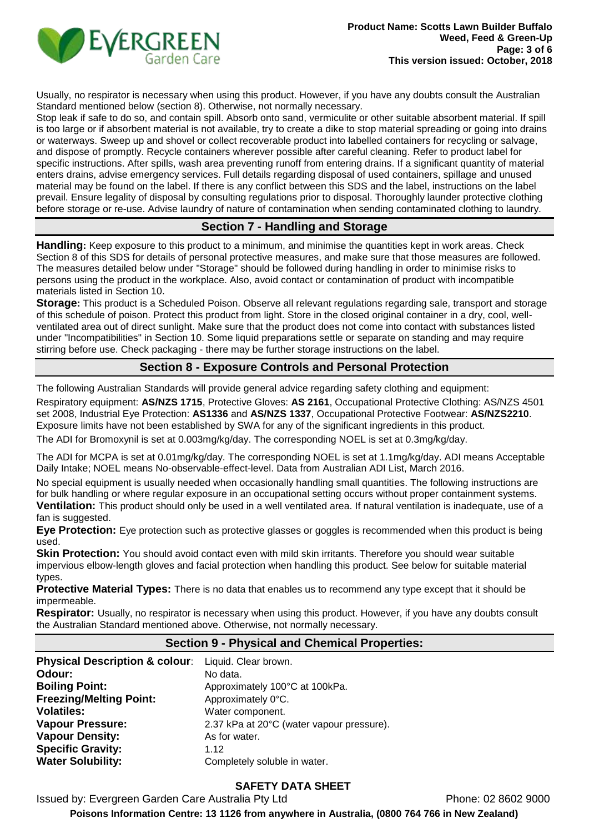

Usually, no respirator is necessary when using this product. However, if you have any doubts consult the Australian Standard mentioned below (section 8). Otherwise, not normally necessary.

Stop leak if safe to do so, and contain spill. Absorb onto sand, vermiculite or other suitable absorbent material. If spill is too large or if absorbent material is not available, try to create a dike to stop material spreading or going into drains or waterways. Sweep up and shovel or collect recoverable product into labelled containers for recycling or salvage, and dispose of promptly. Recycle containers wherever possible after careful cleaning. Refer to product label for specific instructions. After spills, wash area preventing runoff from entering drains. If a significant quantity of material enters drains, advise emergency services. Full details regarding disposal of used containers, spillage and unused material may be found on the label. If there is any conflict between this SDS and the label, instructions on the label prevail. Ensure legality of disposal by consulting regulations prior to disposal. Thoroughly launder protective clothing before storage or re-use. Advise laundry of nature of contamination when sending contaminated clothing to laundry.

### **Section 7 - Handling and Storage**

**Handling:** Keep exposure to this product to a minimum, and minimise the quantities kept in work areas. Check Section 8 of this SDS for details of personal protective measures, and make sure that those measures are followed. The measures detailed below under "Storage" should be followed during handling in order to minimise risks to persons using the product in the workplace. Also, avoid contact or contamination of product with incompatible materials listed in Section 10.

**Storage:** This product is a Scheduled Poison. Observe all relevant regulations regarding sale, transport and storage of this schedule of poison. Protect this product from light. Store in the closed original container in a dry, cool, wellventilated area out of direct sunlight. Make sure that the product does not come into contact with substances listed under "Incompatibilities" in Section 10. Some liquid preparations settle or separate on standing and may require stirring before use. Check packaging - there may be further storage instructions on the label.

## **Section 8 - Exposure Controls and Personal Protection**

The following Australian Standards will provide general advice regarding safety clothing and equipment:

Respiratory equipment: **AS/NZS 1715**, Protective Gloves: **AS 2161**, Occupational Protective Clothing: AS/NZS 4501 set 2008, Industrial Eye Protection: **AS1336** and **AS/NZS 1337**, Occupational Protective Footwear: **AS/NZS2210**. Exposure limits have not been established by SWA for any of the significant ingredients in this product.

The ADI for Bromoxynil is set at 0.003mg/kg/day. The corresponding NOEL is set at 0.3mg/kg/day.

The ADI for MCPA is set at 0.01mg/kg/day. The corresponding NOEL is set at 1.1mg/kg/day. ADI means Acceptable Daily Intake; NOEL means No-observable-effect-level. Data from Australian ADI List, March 2016.

No special equipment is usually needed when occasionally handling small quantities. The following instructions are for bulk handling or where regular exposure in an occupational setting occurs without proper containment systems. **Ventilation:** This product should only be used in a well ventilated area. If natural ventilation is inadequate, use of a fan is suggested.

**Eye Protection:** Eye protection such as protective glasses or goggles is recommended when this product is being used.

**Skin Protection:** You should avoid contact even with mild skin irritants. Therefore you should wear suitable impervious elbow-length gloves and facial protection when handling this product. See below for suitable material types.

**Protective Material Types:** There is no data that enables us to recommend any type except that it should be impermeable.

**Respirator:** Usually, no respirator is necessary when using this product. However, if you have any doubts consult the Australian Standard mentioned above. Otherwise, not normally necessary.

### **Section 9 - Physical and Chemical Properties:**

| Physical Description & colour: Liquid. Clear brown.<br>Odour:<br><b>Boiling Point:</b><br><b>Freezing/Melting Point:</b><br><b>Volatiles:</b><br><b>Vapour Pressure:</b><br><b>Vapour Density:</b> | No data.<br>Approximately 100°C at 100kPa.<br>Approximately 0°C.<br>Water component.<br>2.37 kPa at 20°C (water vapour pressure).<br>As for water. |
|----------------------------------------------------------------------------------------------------------------------------------------------------------------------------------------------------|----------------------------------------------------------------------------------------------------------------------------------------------------|
| <b>Specific Gravity:</b>                                                                                                                                                                           | 1.12                                                                                                                                               |
| <b>Water Solubility:</b>                                                                                                                                                                           | Completely soluble in water.                                                                                                                       |

### **SAFETY DATA SHEET**

Issued by: Evergreen Garden Care Australia Pty Ltd Phone: 02 8602 9000

**Poisons Information Centre: 13 1126 from anywhere in Australia, (0800 764 766 in New Zealand)**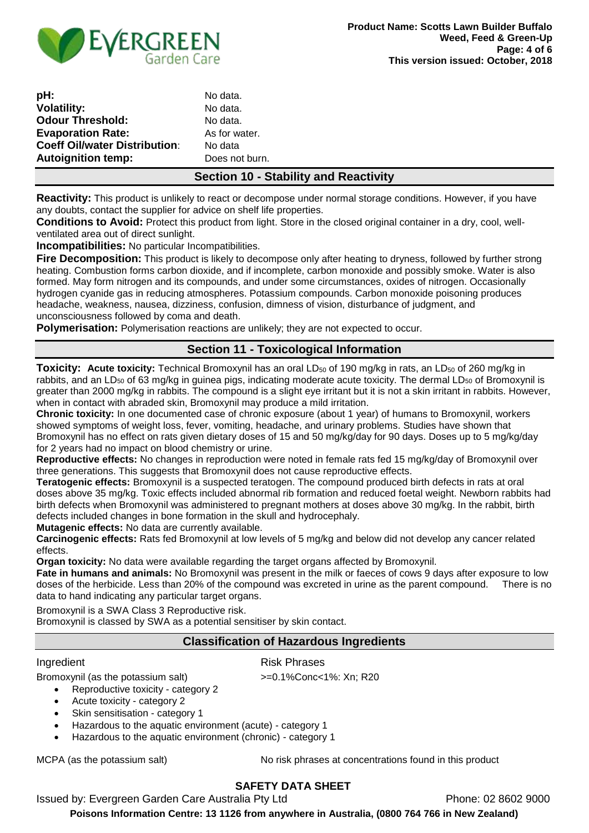

| pH:                                  |  |
|--------------------------------------|--|
| <b>Volatility:</b>                   |  |
| <b>Odour Threshold:</b>              |  |
| <b>Evaporation Rate:</b>             |  |
| <b>Coeff Oil/water Distribution:</b> |  |
| <b>Autoignition temp:</b>            |  |

No data. No data. No data. As for water. **No data** Does not burn.

## **Section 10 - Stability and Reactivity**

**Reactivity:** This product is unlikely to react or decompose under normal storage conditions. However, if you have any doubts, contact the supplier for advice on shelf life properties.

**Conditions to Avoid:** Protect this product from light. Store in the closed original container in a dry, cool, wellventilated area out of direct sunlight.

**Incompatibilities:** No particular Incompatibilities.

**Fire Decomposition:** This product is likely to decompose only after heating to dryness, followed by further strong heating. Combustion forms carbon dioxide, and if incomplete, carbon monoxide and possibly smoke. Water is also formed. May form nitrogen and its compounds, and under some circumstances, oxides of nitrogen. Occasionally hydrogen cyanide gas in reducing atmospheres. Potassium compounds. Carbon monoxide poisoning produces headache, weakness, nausea, dizziness, confusion, dimness of vision, disturbance of judgment, and unconsciousness followed by coma and death.

**Polymerisation:** Polymerisation reactions are unlikely; they are not expected to occur.

## **Section 11 - Toxicological Information**

**Toxicity: Acute toxicity:** Technical Bromoxynil has an oral LD<sub>50</sub> of 190 mg/kg in rats, an LD<sub>50</sub> of 260 mg/kg in rabbits, and an LD<sub>50</sub> of 63 mg/kg in guinea pigs, indicating moderate acute toxicity. The dermal LD<sub>50</sub> of Bromoxynil is greater than 2000 mg/kg in rabbits. The compound is a slight eye irritant but it is not a skin irritant in rabbits. However, when in contact with abraded skin, Bromoxynil may produce a mild irritation.

**Chronic toxicity:** In one documented case of chronic exposure (about 1 year) of humans to Bromoxynil, workers showed symptoms of weight loss, fever, vomiting, headache, and urinary problems. Studies have shown that Bromoxynil has no effect on rats given dietary doses of 15 and 50 mg/kg/day for 90 days. Doses up to 5 mg/kg/day for 2 years had no impact on blood chemistry or urine.

**Reproductive effects:** No changes in reproduction were noted in female rats fed 15 mg/kg/day of Bromoxynil over three generations. This suggests that Bromoxynil does not cause reproductive effects.

**Teratogenic effects:** Bromoxynil is a suspected teratogen. The compound produced birth defects in rats at oral doses above 35 mg/kg. Toxic effects included abnormal rib formation and reduced foetal weight. Newborn rabbits had birth defects when Bromoxynil was administered to pregnant mothers at doses above 30 mg/kg. In the rabbit, birth defects included changes in bone formation in the skull and hydrocephaly.

**Mutagenic effects:** No data are currently available.

**Carcinogenic effects:** Rats fed Bromoxynil at low levels of 5 mg/kg and below did not develop any cancer related effects.

**Organ toxicity:** No data were available regarding the target organs affected by Bromoxynil.

**Fate in humans and animals:** No Bromoxynil was present in the milk or faeces of cows 9 days after exposure to low doses of the herbicide. Less than 20% of the compound was excreted in urine as the parent compound. There is no data to hand indicating any particular target organs.

Bromoxynil is a SWA Class 3 Reproductive risk.

Bromoxynil is classed by SWA as a potential sensitiser by skin contact.

#### **Classification of Hazardous Ingredients**

#### Ingredient **Risk Phrases**

Bromoxynil (as the potassium salt) >=0.1%Conc<1%: Xn; R20

• Reproductive toxicity - category 2

- Acute toxicity category 2
- Skin sensitisation category 1
- Hazardous to the aquatic environment (acute) category 1
- Hazardous to the aquatic environment (chronic) category 1

MCPA (as the potassium salt) No risk phrases at concentrations found in this product

## **SAFETY DATA SHEET**

Issued by: Evergreen Garden Care Australia Pty Ltd **Phone: 02 8602 9000** 

**Poisons Information Centre: 13 1126 from anywhere in Australia, (0800 764 766 in New Zealand)**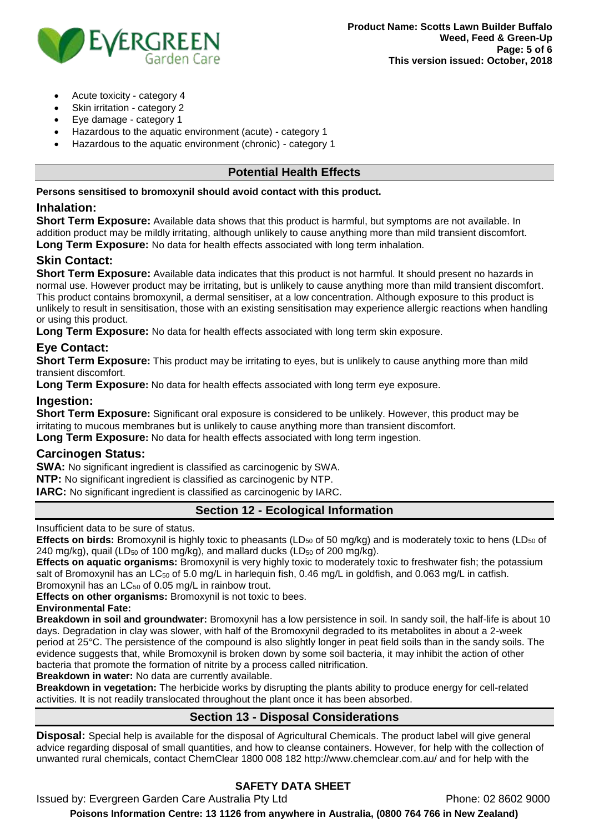

- Acute toxicity category 4
- Skin irritation category 2
- Eye damage category 1
- Hazardous to the aquatic environment (acute) category 1
- Hazardous to the aquatic environment (chronic) category 1

### **Potential Health Effects**

**Persons sensitised to bromoxynil should avoid contact with this product.**

### **Inhalation:**

**Short Term Exposure:** Available data shows that this product is harmful, but symptoms are not available. In addition product may be mildly irritating, although unlikely to cause anything more than mild transient discomfort. **Long Term Exposure:** No data for health effects associated with long term inhalation.

## **Skin Contact:**

**Short Term Exposure:** Available data indicates that this product is not harmful. It should present no hazards in normal use. However product may be irritating, but is unlikely to cause anything more than mild transient discomfort. This product contains bromoxynil, a dermal sensitiser, at a low concentration. Although exposure to this product is unlikely to result in sensitisation, those with an existing sensitisation may experience allergic reactions when handling or using this product.

**Long Term Exposure:** No data for health effects associated with long term skin exposure.

## **Eye Contact:**

**Short Term Exposure:** This product may be irritating to eyes, but is unlikely to cause anything more than mild transient discomfort.

**Long Term Exposure:** No data for health effects associated with long term eye exposure.

### **Ingestion:**

**Short Term Exposure:** Significant oral exposure is considered to be unlikely. However, this product may be irritating to mucous membranes but is unlikely to cause anything more than transient discomfort.

**Long Term Exposure:** No data for health effects associated with long term ingestion.

### **Carcinogen Status:**

**SWA:** No significant ingredient is classified as carcinogenic by SWA.

**NTP:** No significant ingredient is classified as carcinogenic by NTP.

**IARC:** No significant ingredient is classified as carcinogenic by IARC.

## **Section 12 - Ecological Information**

Insufficient data to be sure of status.

**Effects on birds:** Bromoxynil is highly toxic to pheasants (LD<sub>50</sub> of 50 mg/kg) and is moderately toxic to hens (LD<sub>50</sub> of 240 mg/kg), quail (LD<sub>50</sub> of 100 mg/kg), and mallard ducks (LD<sub>50</sub> of 200 mg/kg).

**Effects on aquatic organisms:** Bromoxynil is very highly toxic to moderately toxic to freshwater fish; the potassium salt of Bromoxynil has an LC<sub>50</sub> of 5.0 mg/L in harlequin fish, 0.46 mg/L in goldfish, and 0.063 mg/L in catfish. Bromoxynil has an  $LC_{50}$  of 0.05 mg/L in rainbow trout.

**Effects on other organisms:** Bromoxynil is not toxic to bees.

**Environmental Fate:** 

**Breakdown in soil and groundwater:** Bromoxynil has a low persistence in soil. In sandy soil, the half-life is about 10 days. Degradation in clay was slower, with half of the Bromoxynil degraded to its metabolites in about a 2-week period at 25°C. The persistence of the compound is also slightly longer in peat field soils than in the sandy soils. The evidence suggests that, while Bromoxynil is broken down by some soil bacteria, it may inhibit the action of other bacteria that promote the formation of nitrite by a process called nitrification.

**Breakdown in water:** No data are currently available.

**Breakdown in vegetation:** The herbicide works by disrupting the plants ability to produce energy for cell-related activities. It is not readily translocated throughout the plant once it has been absorbed.

## **Section 13 - Disposal Considerations**

**Disposal:** Special help is available for the disposal of Agricultural Chemicals. The product label will give general advice regarding disposal of small quantities, and how to cleanse containers. However, for help with the collection of unwanted rural chemicals, contact ChemClear 1800 008 182 http://www.chemclear.com.au/ and for help with the

## **SAFETY DATA SHEET**

Issued by: Evergreen Garden Care Australia Pty Ltd **Phone: 02 8602 9000 Poisons Information Centre: 13 1126 from anywhere in Australia, (0800 764 766 in New Zealand)**